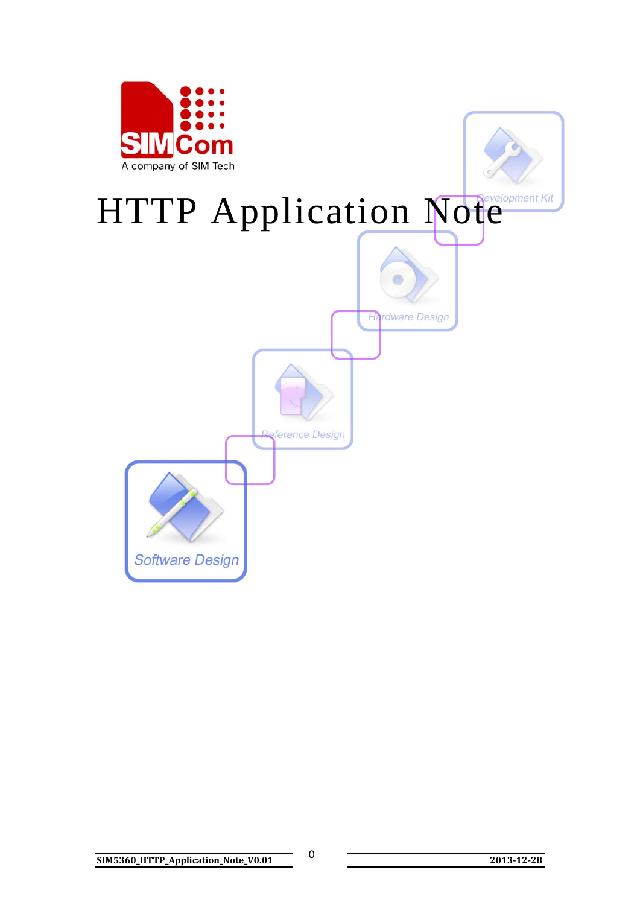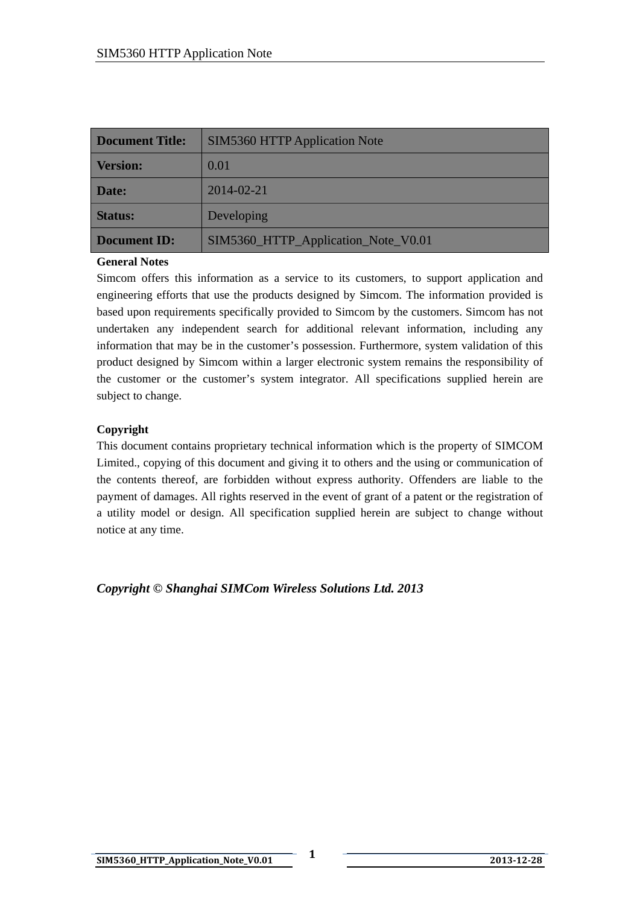| <b>Document Title:</b> | <b>SIM5360 HTTP Application Note</b> |  |
|------------------------|--------------------------------------|--|
| <b>Version:</b>        | 0.01                                 |  |
| Date:                  | 2014-02-21                           |  |
| <b>Status:</b>         | Developing                           |  |
| <b>Document ID:</b>    | SIM5360_HTTP_Application_Note_V0.01  |  |

#### **General Notes**

Simcom offers this information as a service to its customers, to support application and engineering efforts that use the products designed by Simcom. The information provided is based upon requirements specifically provided to Simcom by the customers. Simcom has not undertaken any independent search for additional relevant information, including any information that may be in the customer's possession. Furthermore, system validation of this product designed by Simcom within a larger electronic system remains the responsibility of the customer or the customer's system integrator. All specifications supplied herein are subject to change.

#### **Copyright**

This document contains proprietary technical information which is the property of SIMCOM Limited., copying of this document and giving it to others and the using or communication of the contents thereof, are forbidden without express authority. Offenders are liable to the payment of damages. All rights reserved in the event of grant of a patent or the registration of a utility model or design. All specification supplied herein are subject to change without notice at any time.

*Copyright © Shanghai SIMCom Wireless Solutions Ltd. 2013*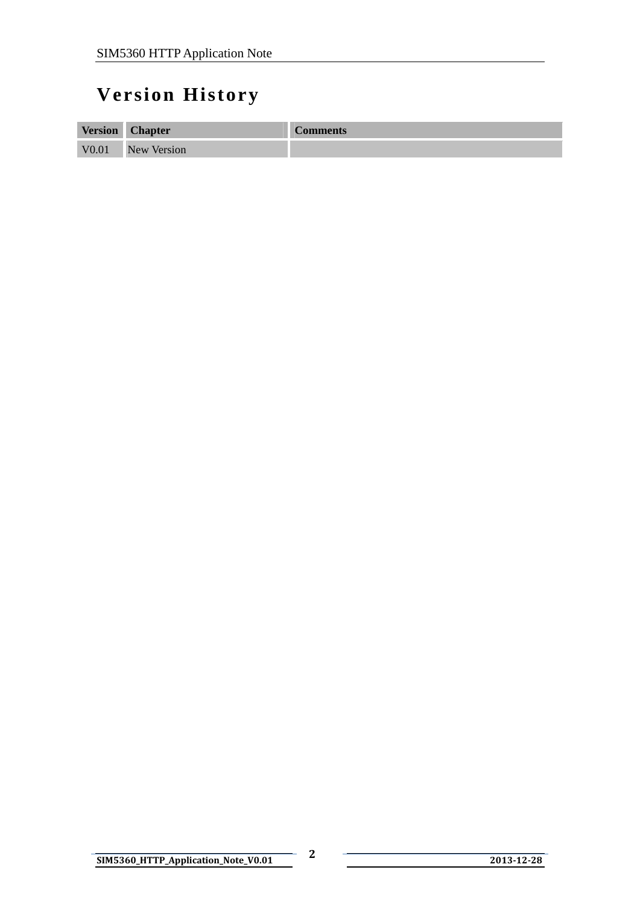## <span id="page-2-0"></span>**Version History**

| <b>Version</b>    | <b>Chapter</b>     | <b>Comments</b> |
|-------------------|--------------------|-----------------|
| V <sub>0.01</sub> | <b>New Version</b> |                 |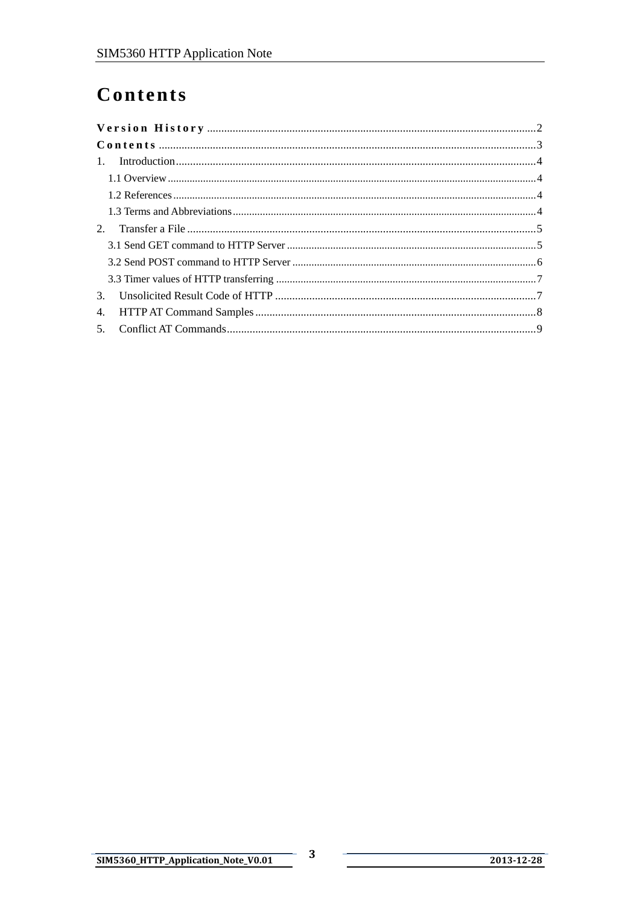## <span id="page-3-0"></span>Contents

| 3 <sub>1</sub> |  |  |
|----------------|--|--|
| 4.             |  |  |
|                |  |  |

 $\overline{\mathbf{3}}$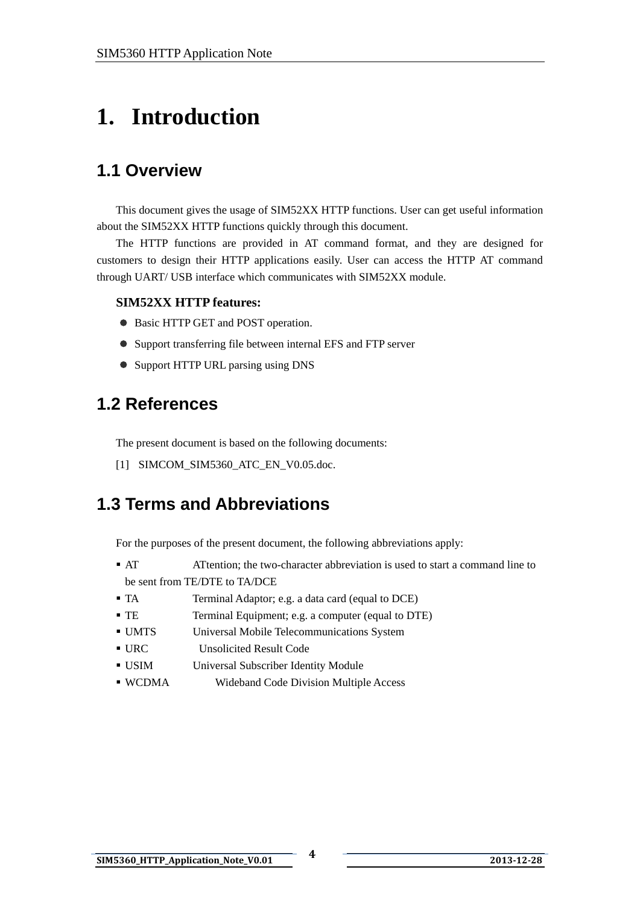# <span id="page-4-0"></span>**1. Introduction**

## **1.1 Overview**

This document gives the usage of SIM52XX HTTP functions. User can get useful information about the SIM52XX HTTP functions quickly through this document.

The HTTP functions are provided in AT command format, and they are designed for customers to design their HTTP applications easily. User can access the HTTP AT command through UART/ USB interface which communicates with SIM52XX module.

#### **SIM52XX HTTP features:**

- Basic HTTP GET and POST operation.
- Support transferring file between internal EFS and FTP server
- Support HTTP URL parsing using DNS

### **1.2 References**

The present document is based on the following documents:

[1] SIMCOM\_SIM5360\_ATC\_EN\_V0.05.doc.

### **1.3 Terms and Abbreviations**

For the purposes of the present document, the following abbreviations apply:

- AT ATtention; the two-character abbreviation is used to start a command line to be sent from TE/DTE to TA/DCE
- TA Terminal Adaptor; e.g. a data card (equal to DCE)
- TE Terminal Equipment; e.g. a computer (equal to DTE)
- UMTS Universal Mobile Telecommunications System
- URC Unsolicited Result Code
- USIM Universal Subscriber Identity Module
- WCDMA Wideband Code Division Multiple Access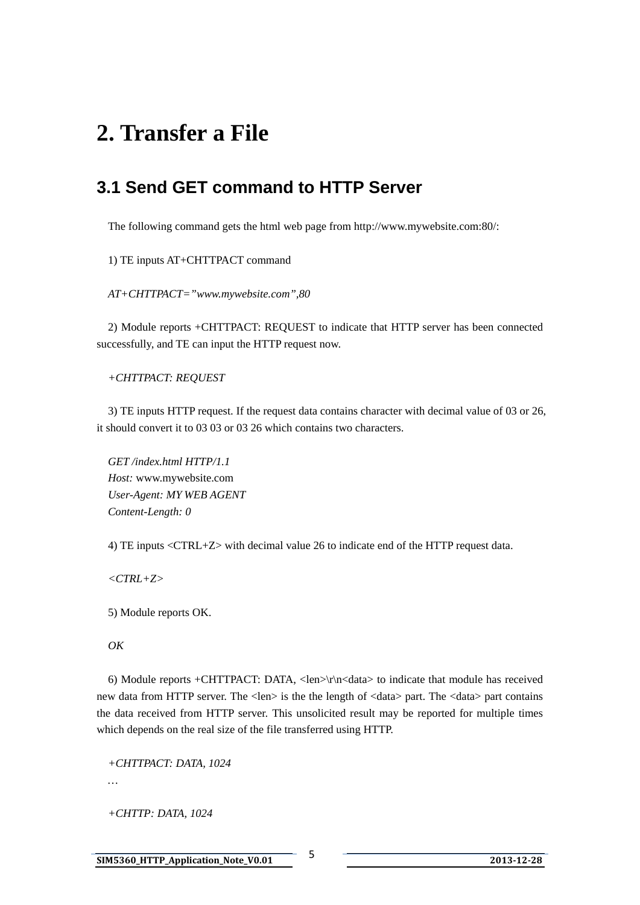## <span id="page-5-0"></span>**2. Transfer a File**

### **3.1 Send GET command to HTTP Server**

The following command gets the html web page from http://www.mywebsite.com:80/:

1) TE inputs AT+CHTTPACT command

*AT+CHTTPACT="www.mywebsite.com",80* 

2) Module reports +CHTTPACT: REQUEST to indicate that HTTP server has been connected successfully, and TE can input the HTTP request now.

*+CHTTPACT: REQUEST* 

3) TE inputs HTTP request. If the request data contains character with decimal value of 03 or 26, it should convert it to 03 03 or 03 26 which contains two characters.

*GET [/index.html HTTP/1.1](http://www.mywebsite.com/index.html%20HTTP/1.1)  Host:* [www.mywebsite.com](http://www.mywebsite.com/) *User-Agent: MY WEB AGENT Content-Length: 0* 

4) TE inputs <CTRL+Z> with decimal value 26 to indicate end of the HTTP request data.

*<CTRL+Z>* 

5) Module reports OK.

#### *OK*

6) Module reports +CHTTPACT: DATA, <len> $\vert r \vert$ n<data> to indicate that module has received new data from HTTP server. The <len> is the the length of <data> part. The <data> part contains the data received from HTTP server. This unsolicited result may be reported for multiple times which depends on the real size of the file transferred using HTTP.

*+CHTTPACT: DATA, 1024* 

*…* 

*+CHTTP: DATA, 1024*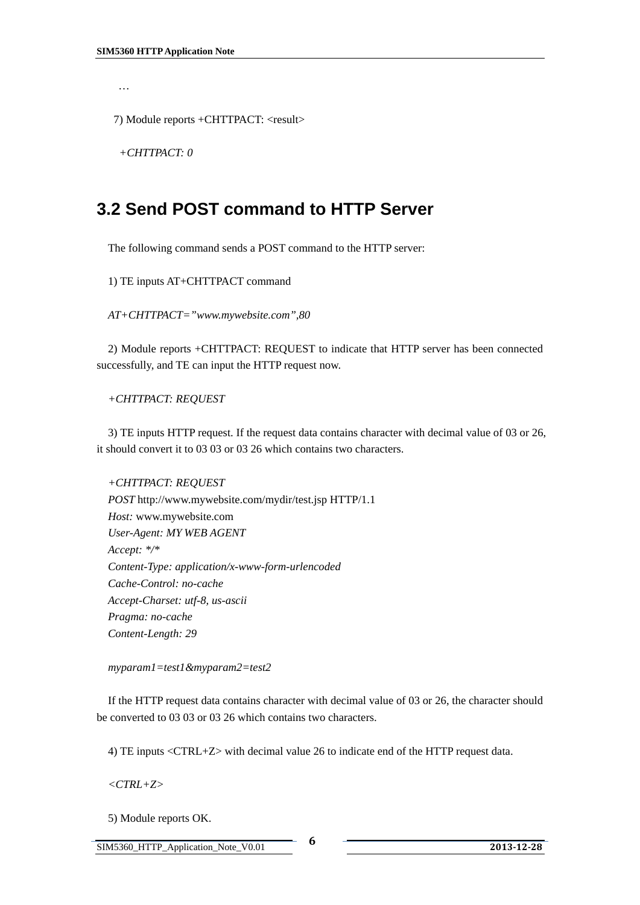<span id="page-6-0"></span>*…* 

7) Module reports +CHTTPACT: <result>

*+CHTTPACT: 0* 

#### **3.2 Send POST command to HTTP Server**

The following command sends a POST command to the HTTP server:

1) TE inputs AT+CHTTPACT command

*AT+CHTTPACT="www.mywebsite.com",80* 

2) Module reports +CHTTPACT: REQUEST to indicate that HTTP server has been connected successfully, and TE can input the HTTP request now.

*+CHTTPACT: REQUEST* 

3) TE inputs HTTP request. If the request data contains character with decimal value of 03 or 26, it should convert it to 03 03 or 03 26 which contains two characters.

*+CHTTPACT: REQUEST POST* [http://www.mywebsite.com/mydir/test.jsp HTTP/1.1](http://www.mywebsite.com/mydir/test.jsp%20HTTP/1.1) *Host:* [www.mywebsite.com](http://www.mywebsite.com/) *User-Agent: MY WEB AGENT Accept: \*/\* Content-Type: application/x-www-form-urlencoded Cache-Control: no-cache Accept-Charset: utf-8, us-ascii Pragma: no-cache Content-Length: 29* 

*myparam1=test1&myparam2=test2* 

If the HTTP request data contains character with decimal value of 03 or 26, the character should be converted to 03 03 or 03 26 which contains two characters.

4) TE inputs <CTRL+Z> with decimal value 26 to indicate end of the HTTP request data.

*<CTRL+Z>* 

5) Module reports OK.

SIM5360\_HTTP\_Application\_Note\_V0.01 **6 <sup>2013</sup>12<sup>28</sup>**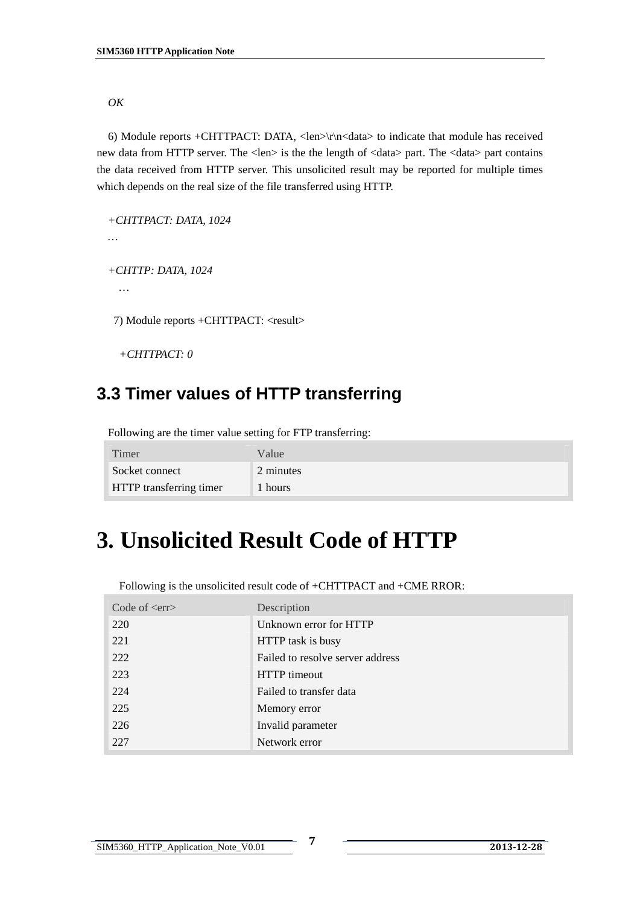<span id="page-7-0"></span>*OK* 

6) Module reports +CHTTPACT: DATA, <len> $\vert r \vert$ n<data> to indicate that module has received new data from HTTP server. The <len> is the the length of <data> part. The <data> part contains the data received from HTTP server. This unsolicited result may be reported for multiple times which depends on the real size of the file transferred using HTTP.

```
+CHTTPACT: DATA, 1024 
… 
+CHTTP: DATA, 1024 
  … 
7) Module reports +CHTTPACT: <result>
```
*+CHTTPACT: 0*

### **3.3 Timer values of HTTP transferring**

Following are the timer value setting for FTP transferring:

| Timer                          | Value     |
|--------------------------------|-----------|
| Socket connect                 | 2 minutes |
| <b>HTTP</b> transferring timer | hours !   |

## **3. Unsolicited Result Code of HTTP**

Following is the unsolicited result code of +CHTTPACT and +CME RROR:

| Code of $\langle$ err $\rangle$ | Description                      |
|---------------------------------|----------------------------------|
| 220                             | Unknown error for HTTP           |
| 221                             | HTTP task is busy                |
| 222                             | Failed to resolve server address |
| 223                             | HTTP timeout                     |
| 224                             | Failed to transfer data          |
| 225                             | Memory error                     |
| 226                             | Invalid parameter                |
| 227                             | Network error                    |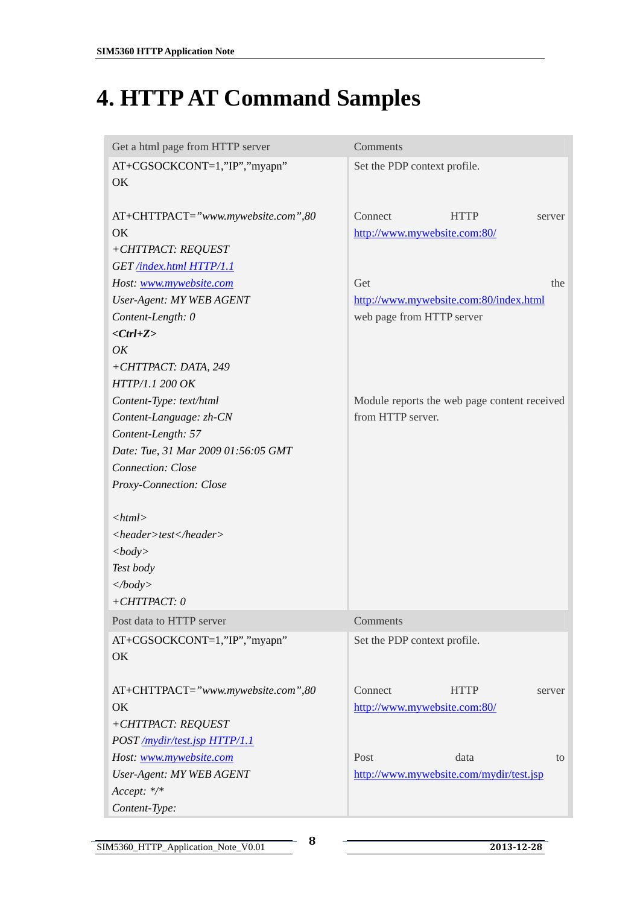# <span id="page-8-0"></span>**4. HTTP AT Command Samples**

| Get a html page from HTTP server                               | Comments                                                         |
|----------------------------------------------------------------|------------------------------------------------------------------|
| AT+CGSOCKCONT=1,"IP","myapn"<br>OK                             | Set the PDP context profile.                                     |
| AT+CHTTPACT="www.mywebsite.com",80<br>OK<br>+CHTTPACT: REQUEST | Connect<br><b>HTTP</b><br>server<br>http://www.mywebsite.com:80/ |
| GET /index.html HTTP/1.1                                       |                                                                  |
| Host: www.mywebsite.com                                        | Get<br>the                                                       |
| <b>User-Agent: MY WEB AGENT</b>                                | http://www.mywebsite.com:80/index.html                           |
| Content-Length: 0                                              | web page from HTTP server                                        |
| $<$ Ctrl+Z>                                                    |                                                                  |
| OK                                                             |                                                                  |
| +CHTTPACT: DATA, 249                                           |                                                                  |
| HTTP/1.1 200 OK                                                |                                                                  |
| Content-Type: text/html                                        | Module reports the web page content received                     |
| Content-Language: zh-CN                                        | from HTTP server.                                                |
| Content-Length: 57                                             |                                                                  |
| Date: Tue, 31 Mar 2009 01:56:05 GMT                            |                                                                  |
| Connection: Close                                              |                                                                  |
| Proxy-Connection: Close                                        |                                                                  |
|                                                                |                                                                  |
| $<$ html $>$                                                   |                                                                  |
| <header>test</header>                                          |                                                                  |
| <body></body>                                                  |                                                                  |
| Test body                                                      |                                                                  |
| $\langle \text{body} \rangle$                                  |                                                                  |
| $+CHTTPACT: 0$                                                 |                                                                  |
| Post data to HTTP server                                       | Comments                                                         |
| AT+CGSOCKCONT=1,"IP","myapn"<br>OK                             | Set the PDP context profile.                                     |
| AT+CHTTPACT="www.mywebsite.com",80                             | Connect<br><b>HTTP</b><br>server                                 |
| OK                                                             | http://www.mywebsite.com:80/                                     |
| +CHTTPACT: REQUEST                                             |                                                                  |
| POST /mydir/test.jsp HTTP/1.1                                  |                                                                  |
| Host: www.mywebsite.com                                        | Post<br>data<br>to                                               |
| <b>User-Agent: MY WEB AGENT</b>                                | http://www.mywebsite.com/mydir/test.jsp                          |
| Accept: */*                                                    |                                                                  |
| Content-Type:                                                  |                                                                  |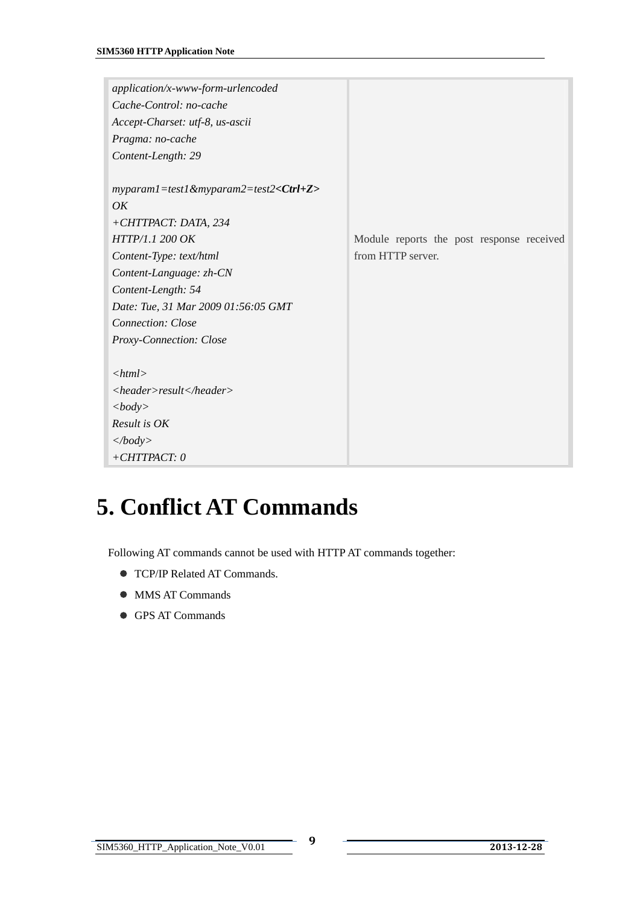<span id="page-9-0"></span>

| application/x-www-form-urlencoded                      |                                           |
|--------------------------------------------------------|-------------------------------------------|
| Cache-Control: no-cache                                |                                           |
| Accept-Charset: utf-8, us-ascii                        |                                           |
| Pragma: no-cache                                       |                                           |
| Content-Length: 29                                     |                                           |
|                                                        |                                           |
| $myparam1 = test1$ &myparam2=test2< $Ctrl + Z$ >       |                                           |
| OK                                                     |                                           |
| +CHTTPACT: DATA, 234                                   |                                           |
| HTTP/1.1 200 OK                                        | Module reports the post response received |
| Content-Type: text/html                                | from HTTP server.                         |
| Content-Language: zh-CN                                |                                           |
| Content-Length: 54                                     |                                           |
| Date: Tue, 31 Mar 2009 01:56:05 GMT                    |                                           |
| <b>Connection: Close</b>                               |                                           |
| Proxy-Connection: Close                                |                                           |
|                                                        |                                           |
| $<$ html $>$                                           |                                           |
| $\langle header \rangle result \langle header \rangle$ |                                           |
| $<$ body>                                              |                                           |
| Result is OK                                           |                                           |
| $\langle \text{body} \rangle$                          |                                           |
| $+CHTTPACT: 0$                                         |                                           |

# **5. Conflict AT Commands**

Following AT commands cannot be used with HTTP AT commands together:

- **TCP/IP Related AT Commands.**
- MMS AT Commands
- **GPS AT Commands**